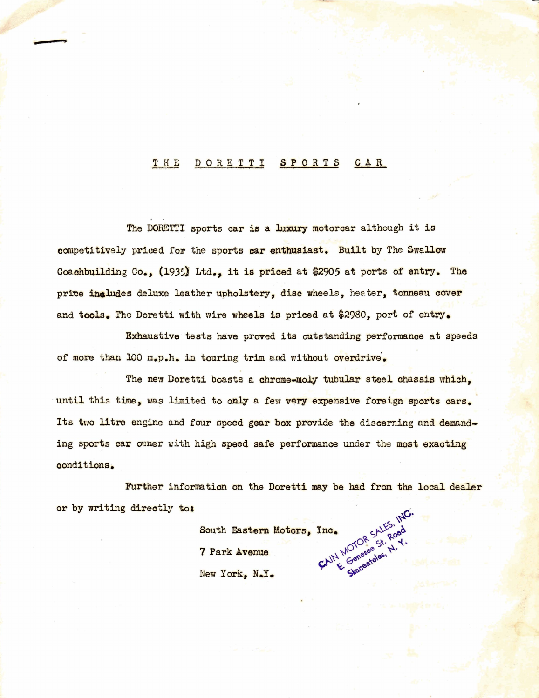#### DORETTI SPORTS CAR THE

The DORETTI sports car is a luxury motorcar although it is competitively priced for the sports car enthusiast. Built by The Swallow Coachbuilding Co., (1935) Ltd., it is priced at \$2905 at ports of entry. The price includes deluxe leather upholstery, disc wheels, heater, tonneau cover and tools. The Doretti with wire wheels is priced at \$2980, port of entry.

Exhaustive tests have proved its outstanding performance at speeds of more than 100 m.p.h. in touring trim and without overdrive.

The new Doretti boasts a chrome-moly tubular steel chassis which, until this time, was limited to only a few very expensive foreign sports cars. Its two litre engine and four speed gear box provide the discerning and demanding sports car owner with high speed safe performance under the most exacting conditions.

Further information on the Doretti may be had from the local dealer or by writing directly to:

CAIN MOTOR SALES South Eastern Motors, Inc. 7 Park Avenue New York, N.Y.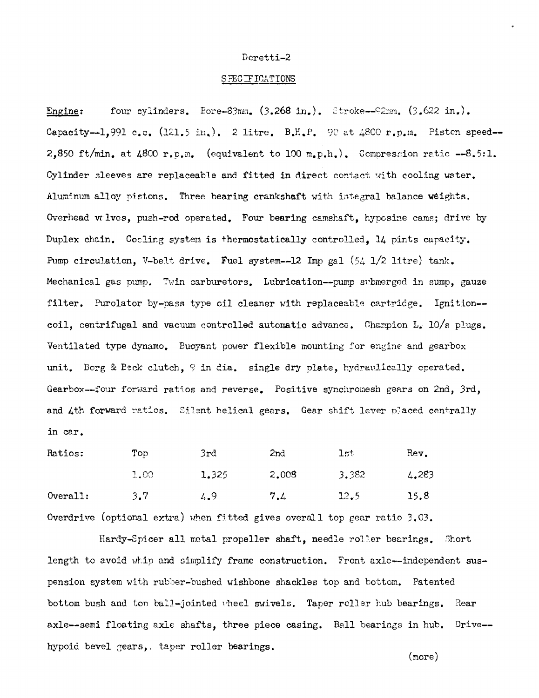## Dcretti-2

### SPECIFICATIONS

four cylinders. Bore-83mm.  $(3.268 \text{ in.})$ . Stroke--92mm.  $(3.622 \text{ in.})$ . Engine: Capacity--1,991 c.c. (121.5 in.). 2 litre. B.H.P. 90 at 4800 r.p.m. Piston speed--2,850 ft/min. at  $4800$  r.p.m. (equivalent to 100 m.p.h.). Compression ratio --8.5:1. Cylinder sleeves are replaceable and fitted in direct contact with cooling water. Aluminum alloy pistons. Three bearing crankshaft with integral balance weights. Overhead valves, push-rod operated. Four bearing camshaft, hyposine cams; drive by Duplex chain. Cooling system is thermostatically controlled. 14 pints capacity. Pump circulation, V-belt drive. Fuel system--12 Imp gal  $(54 \text{ 1}/2 \text{ litre})$  tank. Mechanical gas pump. Twin carburetors. Lubrication--pump submerged in sump. gauze filter. Purolator by-pass type oil cleaner with replaceable cartridge. Ignition-coil, centrifugal and vacuum controlled automatic advance. Champion L. 10/s plugs. Ventilated type dynamo. Buoyant power flexible mounting for engine and gearbox unit. Borg & Beck clutch, 9 in dia. single dry plate, hydraulically operated. Gearbox--four forward ratios and reverse. Positive synchromesh gears on 2nd, 3rd, and 4th forward ratios. Silent helical gears. Gear shift lever placed centrally in car.

| Ratios:  | Top  | 3rd   | 2nd   | 1st   | Rev.  |
|----------|------|-------|-------|-------|-------|
|          | 1.00 | 1.325 | 2,008 | 3.382 | 4.283 |
| Overall: | 3.7  | 4.9   | 7.4   | 12.5  | 15.8  |

Overdrive (optional extra) when fitted gives overall top gear ratio  $3.03$ .

Hardy-Spicer all metal propeller shaft, needle roller bearings. Short length to avoid whip and simplify frame construction. Front axle-independent suspension system with rubber-bushed wishbone shackles top and bottom. Patented bottom bush and top ball-jointed wheel swivels. Taper roller hub bearings. Rear axle--semi floating axle shafts, three piece casing. Ball bearings in hub. Drive-hypoid bevel gears, taper roller bearings.

 $(more)$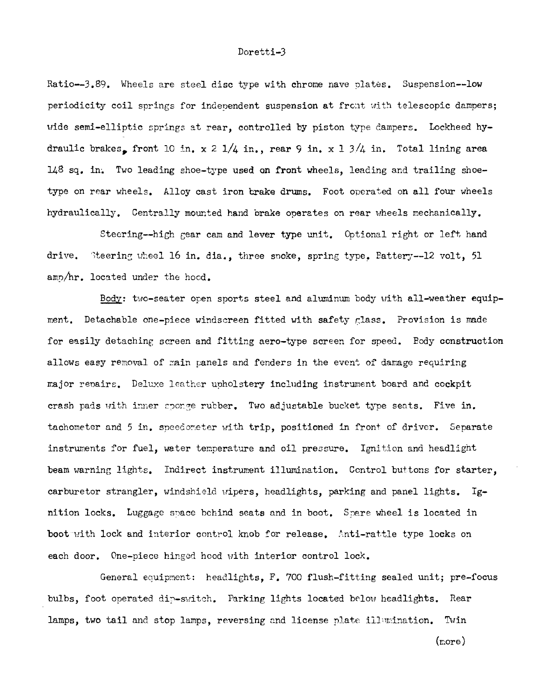#### Doretti-3

Ratio--3.89. Wheels are steel disc type with chrome nave plates. Suspension--low periodicity coil springs for independent suspension at front with telescopic dampers; wide semi-elliptic springs at rear, controlled by piston type dampers. Lockheed hydraulic brakes, front 10 in.  $x$  2  $1/4$  in., rear 9 in. x 1  $3/4$  in. Total lining area 148 sq. in. Two leading shoe-type used on front wheels, leading and trailing shoetype on rear wheels. Alloy cast iron brake drums. Foot operated on all four wheels hydraulically. Centrally mounted hand brake operates on rear wheels mechanically.

Steering--high gear cam and lever type unit. Optional right or left, hand drive. Steering wheel 16 in. dia., three snoke, spring type. Fattery--12 volt, 51 amp/hr. located under the hood.

Body: two-seater open sports steel and aluminum body with all-weather equipment. Detachable one-piece windscreen fitted with safety glass. Provision is made for easily detaching screen and fitting aero-type screen for speed. Edy construction allows easy removal of main panels and fenders in the event of damage requiring major renairs. Deluxe leather upholstery including instrument board and cockpit crash pads with inner sponge rubber. Two adjustable bucket type seats. Five in. tachometer and 5 in. speedometer with trip, positioned in front of driver. Separate instruments for fuel, water temperature and oil pressure. Ignition and headlight beam warning lights. Indirect instrument illumination. Control buttons for starter, carburetor strangler, windshield vipers, headlights, parking and panel lights.  $Ig$ nition locks. Luggage space behind seats and in boot. Spare wheel is located in boot with lock and interior control knob for release, Anti-rattle type locks on each door. One-piece hinged hood with interior control lock.

General equipment: headlights, F. 700 flush-fitting sealed unit; pre-focus bulbs, foot operated dip-switch. Parking lights located below headlights. Rear lamps, two tail and stop lamps, reversing and license plate illumination. Twin  $(nor)$